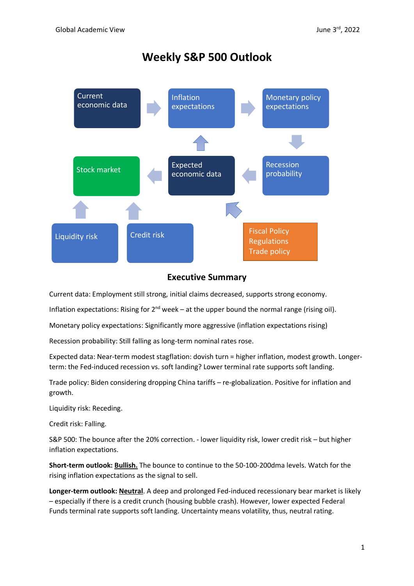# **Weekly S&P 500 Outlook**



# **Executive Summary**

Current data: Employment still strong, initial claims decreased, supports strong economy.

Inflation expectations: Rising for  $2^{nd}$  week – at the upper bound the normal range (rising oil).

Monetary policy expectations: Significantly more aggressive (inflation expectations rising)

Recession probability: Still falling as long-term nominal rates rose.

Expected data: Near-term modest stagflation: dovish turn = higher inflation, modest growth. Longerterm: the Fed-induced recession vs. soft landing? Lower terminal rate supports soft landing.

Trade policy: Biden considering dropping China tariffs – re-globalization. Positive for inflation and growth.

Liquidity risk: Receding.

Credit risk: Falling.

S&P 500: The bounce after the 20% correction. - lower liquidity risk, lower credit risk – but higher inflation expectations.

**Short-term outlook: Bullish.** The bounce to continue to the 50-100-200dma levels. Watch for the rising inflation expectations as the signal to sell.

**Longer-term outlook: Neutral**. A deep and prolonged Fed-induced recessionary bear market is likely – especially if there is a credit crunch (housing bubble crash). However, lower expected Federal Funds terminal rate supports soft landing. Uncertainty means volatility, thus, neutral rating.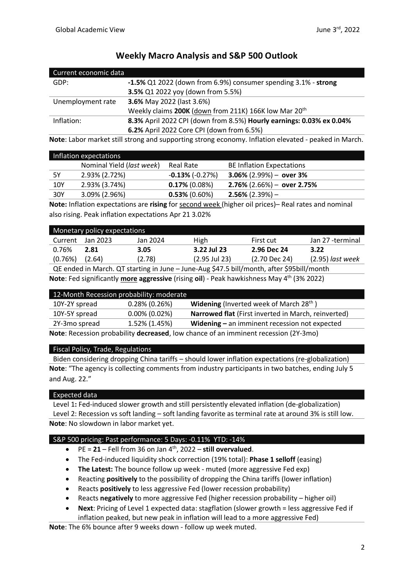| Current economic data |                                                                      |
|-----------------------|----------------------------------------------------------------------|
| GDP:                  | -1.5% Q1 2022 (down from 6.9%) consumer spending 3.1% - strong       |
|                       | 3.5% Q1 2022 yoy (down from 5.5%)                                    |
| Unemployment rate     | <b>3.6%</b> May 2022 (last 3.6%)                                     |
|                       | Weekly claims 200K (down from 211K) 166K low Mar 20 <sup>th</sup>    |
| Inflation:            | 8.3% April 2022 CPI (down from 8.5%) Hourly earnings: 0.03% ex 0.04% |
|                       | 6.2% April 2022 Core CPI (down from 6.5%)                            |

# **Weekly Macro Analysis and S&P 500 Outlook**

**Note**: Labor market still strong and supporting strong economy. Inflation elevated - peaked in March.

| Inflation expectations |                                    |                         |                                  |
|------------------------|------------------------------------|-------------------------|----------------------------------|
|                        | Nominal Yield ( <i>last week</i> ) | Real Rate               | <b>BE Inflation Expectations</b> |
| 5Υ                     | 2.93% (2.72%)                      | $-0.13\%$ ( $-0.27\%$ ) | $3.06\%$ (2.99%) - over 3%       |
| 10Y                    | 2.93% (3.74%)                      | $0.17\%$ (0.08%)        | $2.76\%$ (2.66%) – over 2.75%    |
| 30Y                    | 3.09% (2.96%)                      | $0.53\%$ (0.60%)        | $2.56\%$ (2.39%) –               |

**Note:** Inflation expectations are **rising** for second week (higher oil prices)– Real rates and nominal also rising. Peak inflation expectations Apr 21 3.02%

| Monetary policy expectations |          |          |                 |               |                    |
|------------------------------|----------|----------|-----------------|---------------|--------------------|
| Current                      | Jan 2023 | Jan 2024 | <b>High</b>     | First cut     | Jan 27 -terminal   |
| 0.76%                        | 2.81     | 3.05     | 3.22 Jul 23     | 2.96 Dec 24   | 3.22               |
| (0.76%)                      | (2.64)   | (2.78)   | $(2.95$ Jul 23) | (2.70 Dec 24) | $(2.95)$ last week |
|                              |          |          |                 |               |                    |

QE ended in March. QT starting in June – June-Aug \$47.5 bill/month, after \$95bill/month **Note**: Fed significantly **more aggressive** (rising **oil**) - Peak hawkishness May 4th (3% 2022)

|                                                                                     | 12-Month Recession probability: moderate |                                                            |
|-------------------------------------------------------------------------------------|------------------------------------------|------------------------------------------------------------|
| 10Y-2Y spread                                                                       | $0.28\%$ (0.26%)                         | <b>Widening</b> (Inverted week of March 28 <sup>th</sup> ) |
| 10Y-5Y spread                                                                       | $0.00\%$ (0.02%)                         | Narrowed flat (First inverted in March, reinverted)        |
| 2Y-3mo spread                                                                       | 1.52% (1.45%)                            | Widening $-$ an imminent recession not expected            |
| Note: Recession probability decreased, low chance of an imminent recession (2Y-3mo) |                                          |                                                            |

#### Fiscal Policy, Trade, Regulations

Biden considering dropping China tariffs – should lower inflation expectations (re-globalization) **Note**: "The agency is collecting comments from industry participants in two batches, ending July 5 and Aug. 22."

# Expected data

Level 1**:** Fed-induced slower growth and still persistently elevated inflation (de-globalization) Level 2: Recession vs soft landing – soft landing favorite as terminal rate at around 3% is still low. **Note**: No slowdown in labor market yet.

# S&P 500 pricing: Past performance: 5 Days: -0.11% YTD: -14%

- PE = **21** Fell from 36 on Jan 4th , 2022 **still overvalued**.
- The Fed-induced liquidity shock correction (19% total): **Phase 1 selloff** (easing)
- **The Latest:** The bounce follow up week muted (more aggressive Fed exp)
- Reacting **positively** to the possibility of dropping the China tariffs (lower inflation)
- Reacts **positively** to less aggressive Fed (lower recession probability)
- Reacts **negatively** to more aggressive Fed (higher recession probability higher oil)
- **Next**: Pricing of Level 1 expected data: stagflation (slower growth = less aggressive Fed if inflation peaked, but new peak in inflation will lead to a more aggressive Fed)

**Note**: The 6% bounce after 9 weeks down - follow up week muted.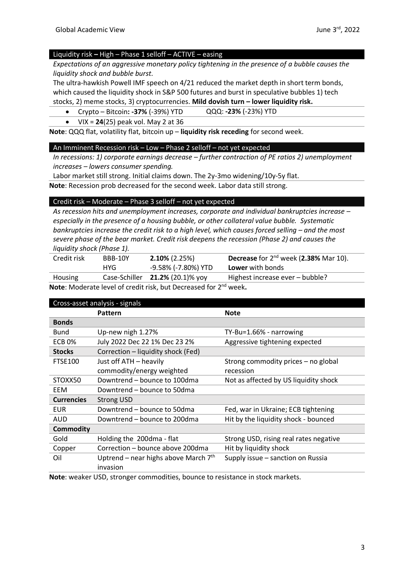# Liquidity risk **–** High – Phase 1 selloff – ACTIVE – easing

*Expectations of an aggressive monetary policy tightening in the presence of a bubble causes the liquidity shock and bubble burst.*

The ultra-hawkish Powell IMF speech on 4/21 reduced the market depth in short term bonds, which caused the liquidity shock in S&P 500 futures and burst in speculative bubbles 1) tech

stocks, 2) meme stocks, 3) cryptocurrencies. **Mild dovish turn – lower liquidity risk.**

- Crypto Bitcoin**: -37%** (-39%) YTD QQQ: **-23%** (-23%) YTD
- VIX = **24**(25) peak vol. May 2 at 36

**Note**: QQQ flat, volatility flat, bitcoin up – **liquidity risk receding** for second week.

#### An Imminent Recession risk – Low – Phase 2 selloff – not yet expected

*In recessions: 1) corporate earnings decrease – further contraction of PE ratios 2) unemployment increases – lowers consumer spending.*

Labor market still strong. Initial claims down. The 2y-3mo widening/10y-5y flat.

**Note**: Recession prob decreased for the second week. Labor data still strong.

#### Credit risk – Moderate – Phase 3 selloff – not yet expected

*As recession hits and unemployment increases, corporate and individual bankruptcies increase – especially in the presence of a housing bubble, or other collateral value bubble. Systematic bankruptcies increase the credit risk to a high level, which causes forced selling – and the most severe phase of the bear market. Credit risk deepens the recession (Phase 2) and causes the liquidity shock (Phase 1).* 

| Credit risk    | BBB-10Y | $2.10\%$ (2.25%)                   | <b>Decrease</b> for $2^{nd}$ week (2.38% Mar 10). |
|----------------|---------|------------------------------------|---------------------------------------------------|
|                | HYG.    | -9.58% (-7.80%) YTD                | <b>Lower</b> with bonds                           |
| <b>Housing</b> |         | Case-Schiller $21.2\%$ (20.1)% yoy | Highest increase ever – bubble?                   |
|                |         |                                    |                                                   |

**Note**: Moderate level of credit risk, but Decreased for 2nd week**.**

| Cross-asset analysis - signals |                                                    |                                        |  |
|--------------------------------|----------------------------------------------------|----------------------------------------|--|
|                                | Pattern                                            | <b>Note</b>                            |  |
| <b>Bonds</b>                   |                                                    |                                        |  |
| Bund                           | Up-new nigh 1.27%                                  | TY-Bu=1.66% - narrowing                |  |
| <b>ECB 0%</b>                  | July 2022 Dec 22 1% Dec 23 2%                      | Aggressive tightening expected         |  |
| <b>Stocks</b>                  | Correction - liquidity shock (Fed)                 |                                        |  |
| <b>FTSE100</b>                 | Just off ATH - heavily                             | Strong commodity prices – no global    |  |
|                                | commodity/energy weighted                          | recession                              |  |
| STOXX50                        | Downtrend - bounce to 100dma                       | Not as affected by US liquidity shock  |  |
| EEM                            | Downtrend – bounce to 50dma                        |                                        |  |
| <b>Currencies</b>              | <b>Strong USD</b>                                  |                                        |  |
| <b>EUR</b>                     | Downtrend – bounce to 50dma                        | Fed, war in Ukraine; ECB tightening    |  |
| AUD                            | Downtrend – bounce to 200dma                       | Hit by the liquidity shock - bounced   |  |
| <b>Commodity</b>               |                                                    |                                        |  |
| Gold                           | Holding the 200dma - flat                          | Strong USD, rising real rates negative |  |
| Copper                         | Correction - bounce above 200dma                   | Hit by liquidity shock                 |  |
| Oil                            | Uptrend – near highs above March $7th$<br>invasion | Supply issue - sanction on Russia      |  |

**Note**: weaker USD, stronger commodities, bounce to resistance in stock markets.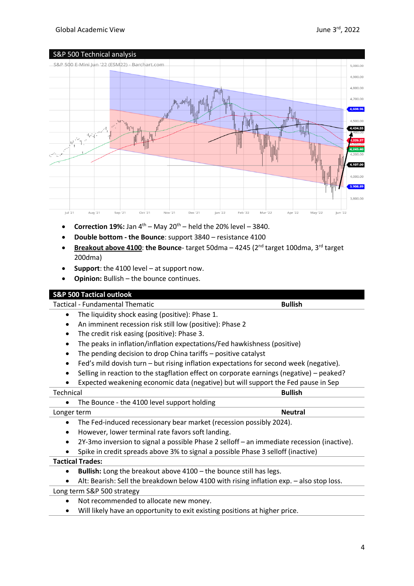# Global Academic View



- **Correction 19%:** Jan  $4^{th}$  May  $20^{th}$  held the 20% level 3840.
- **Double bottom - the Bounce**: support 3840 resistance 4100
- **Breakout above 4100**: **the Bounce** target 50dma 4245 (2nd target 100dma, 3rd target 200dma)
- **Support**: the 4100 level at support now.
- **Opinion:** Bullish the bounce continues.

# **S&P 500 Tactical outlook**

Tactical - Fundamental Thematic **Bullish**

- The liquidity shock easing (positive): Phase 1.
- An imminent recession risk still low (positive): Phase 2
- The credit risk easing (positive): Phase 3.
- The peaks in inflation/inflation expectations/Fed hawkishness (positive)
- The pending decision to drop China tariffs positive catalyst
- Fed's mild dovish turn but rising inflation expectations for second week (negative).
- Selling in reaction to the stagflation effect on corporate earnings (negative) peaked?
- Expected weakening economic data (negative) but will support the Fed pause in Sep

| Technical                                                           |                                                   | <b>Bullish</b> |
|---------------------------------------------------------------------|---------------------------------------------------|----------------|
|                                                                     | The Bounce - the 4100 level support holding       |                |
| Longer term                                                         |                                                   | <b>Neutral</b> |
| The Fed-induced recessionary bear market (recession possibly 2024). |                                                   |                |
|                                                                     | However, lower terminal rate favors soft landing. |                |

- 2Y-3mo inversion to signal a possible Phase 2 selloff an immediate recession (inactive).
- Spike in credit spreads above 3% to signal a possible Phase 3 selloff (inactive)

#### **Tactical Trades:**

- **Bullish:** Long the breakout above 4100 the bounce still has legs.
- Alt: Bearish: Sell the breakdown below 4100 with rising inflation exp. also stop loss.

Long term S&P 500 strategy

- Not recommended to allocate new money.
- Will likely have an opportunity to exit existing positions at higher price.